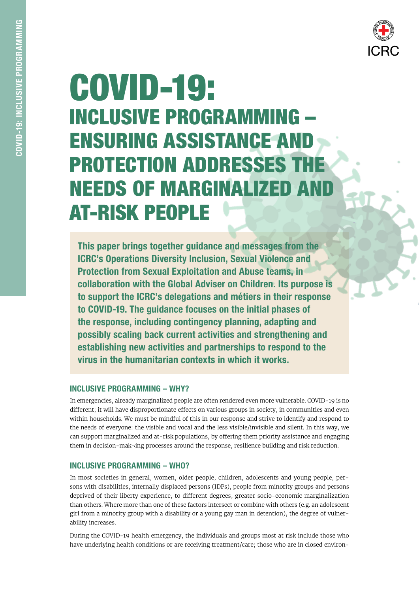

# COVID-19: INCLUSIVE PROGRAMMING – ENSURING ASSISTANCE AND PROTECTION ADDRESSES THE **NEEDS OF MARGINALIZED A** AT-RISK PEOPLE

This paper brings together guidance and messages from the ICRC's Operations Diversity Inclusion, Sexual Violence and Protection from Sexual Exploitation and Abuse teams, in collaboration with the Global Adviser on Children. Its purpose is to support the ICRC's delegations and métiers in their response to COVID-19. The guidance focuses on the initial phases of the response, including contingency planning, adapting and possibly scaling back current activities and strengthening and establishing new activities and partnerships to respond to the virus in the humanitarian contexts in which it works.

# INCLUSIVE PROGRAMMING – WHY?

In emergencies, already marginalized people are often rendered even more vulnerable. COVID-19 is no different; it will have disproportionate effects on various groups in society, in communities and even within households. We must be mindful of this in our response and strive to identify and respond to the needs of everyone: the visible and vocal and the less visible/invisible and silent. In this way, we can support marginalized and at-risk populations, by offering them priority assistance and engaging them in decision-mak¬ing processes around the response, resilience building and risk reduction.

# INCLUSIVE PROGRAMMING – WHO?

In most societies in general, women, older people, children, adolescents and young people, persons with disabilities, internally displaced persons (IDPs), people from minority groups and persons deprived of their liberty experience, to different degrees, greater socio-economic marginalization than others. Where more than one of these factors intersect or combine with others (e.g. an adolescent girl from a minority group with a disability or a young gay man in detention), the degree of vulnerability increases.

During the COVID-19 health emergency, the individuals and groups most at risk include those who have underlying health conditions or are receiving treatment/care; those who are in closed environ-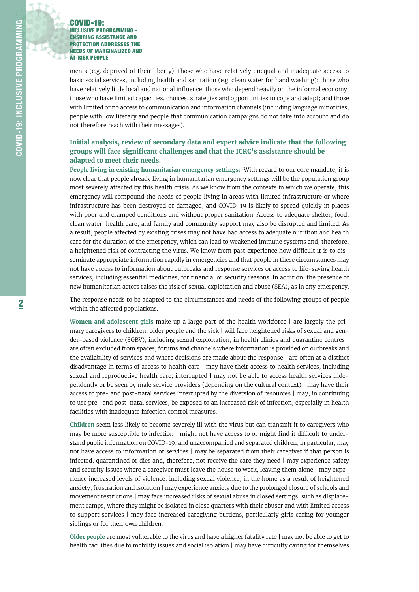

ments (e.g. deprived of their liberty); those who have relatively unequal and inadequate access to basic social services, including health and sanitation (e.g. clean water for hand washing); those who have relatively little local and national influence; those who depend heavily on the informal economy; those who have limited capacities, choices, strategies and opportunities to cope and adapt; and those with limited or no access to communication and information channels (including language minorities, people with low literacy and people that communication campaigns do not take into account and do not therefore reach with their messages).

## **Initial analysis, review of secondary data and expert advice indicate that the following groups will face significant challenges and that the ICRC's assistance should be adapted to meet their needs.**

**People living in existing humanitarian emergency settings:** With regard to our core mandate, it is now clear that people already living in humanitarian emergency settings will be the population group most severely affected by this health crisis. As we know from the contexts in which we operate, this emergency will compound the needs of people living in areas with limited infrastructure or where infrastructure has been destroyed or damaged, and COVID-19 is likely to spread quickly in places with poor and cramped conditions and without proper sanitation. Access to adequate shelter, food, clean water, health care, and family and community support may also be disrupted and limited. As a result, people affected by existing crises may not have had access to adequate nutrition and health care for the duration of the emergency, which can lead to weakened immune systems and, therefore, a heightened risk of contracting the virus. We know from past experience how difficult it is to disseminate appropriate information rapidly in emergencies and that people in these circumstances may not have access to information about outbreaks and response services or access to life-saving health services, including essential medicines, for financial or security reasons. In addition, the presence of new humanitarian actors raises the risk of sexual exploitation and abuse (SEA), as in any emergency.

The response needs to be adapted to the circumstances and needs of the following groups of people within the affected populations.

**Women and adolescent girls** make up a large part of the health workforce | are largely the primary caregivers to children, older people and the sick | will face heightened risks of sexual and gender-based violence (SGBV), including sexual exploitation, in health clinics and quarantine centres | are often excluded from spaces, forums and channels where information is provided on outbreaks and the availability of services and where decisions are made about the response | are often at a distinct disadvantage in terms of access to health care | may have their access to health services, including sexual and reproductive health care, interrupted | may not be able to access health services independently or be seen by male service providers (depending on the cultural context) | may have their access to pre- and post-natal services interrupted by the diversion of resources | may, in continuing to use pre- and post-natal services, be exposed to an increased risk of infection, especially in health facilities with inadequate infection control measures.

**Children** seem less likely to become severely ill with the virus but can transmit it to caregivers who may be more susceptible to infection | might not have access to or might find it difficult to understand public information on COVID-19, and unaccompanied and separated children, in particular, may not have access to information or services | may be separated from their caregiver if that person is infected, quarantined or dies and, therefore, not receive the care they need | may experience safety and security issues where a caregiver must leave the house to work, leaving them alone | may experience increased levels of violence, including sexual violence, in the home as a result of heightened anxiety, frustration and isolation | may experience anxiety due to the prolonged closure of schools and movement restrictions | may face increased risks of sexual abuse in closed settings, such as displacement camps, where they might be isolated in close quarters with their abuser and with limited access to support services | may face increased caregiving burdens, particularly girls caring for younger siblings or for their own children.

**Older people** are most vulnerable to the virus and have a higher fatality rate | may not be able to get to health facilities due to mobility issues and social isolation | may have difficulty caring for themselves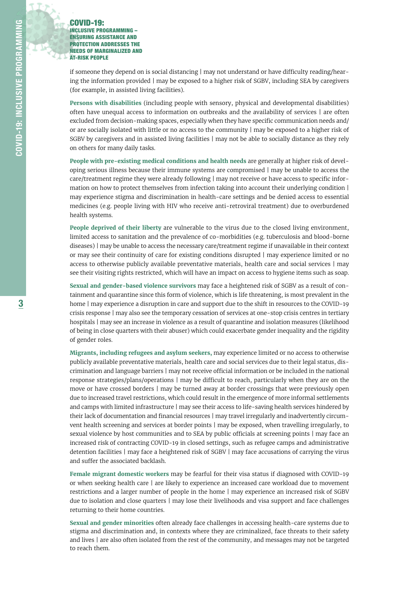if someone they depend on is social distancing | may not understand or have difficulty reading/hearing the information provided | may be exposed to a higher risk of SGBV, including SEA by caregivers (for example, in assisted living facilities).

**Persons with disabilities** (including people with sensory, physical and developmental disabilities) often have unequal access to information on outbreaks and the availability of services | are often excluded from decision-making spaces, especially when they have specific communication needs and/ or are socially isolated with little or no access to the community | may be exposed to a higher risk of SGBV by caregivers and in assisted living facilities | may not be able to socially distance as they rely on others for many daily tasks.

**People with pre-existing medical conditions and health needs** are generally at higher risk of developing serious illness because their immune systems are compromised | may be unable to access the care/treatment regime they were already following | may not receive or have access to specific information on how to protect themselves from infection taking into account their underlying condition | may experience stigma and discrimination in health-care settings and be denied access to essential medicines (e.g. people living with HIV who receive anti-retroviral treatment) due to overburdened health systems.

**People deprived of their liberty** are vulnerable to the virus due to the closed living environment, limited access to sanitation and the prevalence of co-morbidities (e.g. tuberculosis and blood-borne diseases) | may be unable to access the necessary care/treatment regime if unavailable in their context or may see their continuity of care for existing conditions disrupted | may experience limited or no access to otherwise publicly available preventative materials, health care and social services | may see their visiting rights restricted, which will have an impact on access to hygiene items such as soap.

**Sexual and gender-based violence survivors** may face a heightened risk of SGBV as a result of containment and quarantine since this form of violence, which is life threatening, is most prevalent in the home | may experience a disruption in care and support due to the shift in resources to the COVID-19 crisis response | may also see the temporary cessation of services at one-stop crisis centres in tertiary hospitals | may see an increase in violence as a result of quarantine and isolation measures (likelihood of being in close quarters with their abuser) which could exacerbate gender inequality and the rigidity of gender roles.

**Migrants, including refugees and asylum seekers,** may experience limited or no access to otherwise publicly available preventative materials, health care and social services due to their legal status, discrimination and language barriers | may not receive official information or be included in the national response strategies/plans/operations | may be difficult to reach, particularly when they are on the move or have crossed borders | may be turned away at border crossings that were previously open due to increased travel restrictions, which could result in the emergence of more informal settlements and camps with limited infrastructure | may see their access to life-saving health services hindered by their lack of documentation and financial resources | may travel irregularly and inadvertently circumvent health screening and services at border points | may be exposed, when travelling irregularly, to sexual violence by host communities and to SEA by public officials at screening points | may face an increased risk of contracting COVID-19 in closed settings, such as refugee camps and administrative detention facilities | may face a heightened risk of SGBV | may face accusations of carrying the virus and suffer the associated backlash.

**Female migrant domestic workers** may be fearful for their visa status if diagnosed with COVID-19 or when seeking health care | are likely to experience an increased care workload due to movement restrictions and a larger number of people in the home | may experience an increased risk of SGBV due to isolation and close quarters | may lose their livelihoods and visa support and face challenges returning to their home countries.

**Sexual and gender minorities** often already face challenges in accessing health-care systems due to stigma and discrimination and, in contexts where they are criminalized, face threats to their safety and lives | are also often isolated from the rest of the community, and messages may not be targeted to reach them.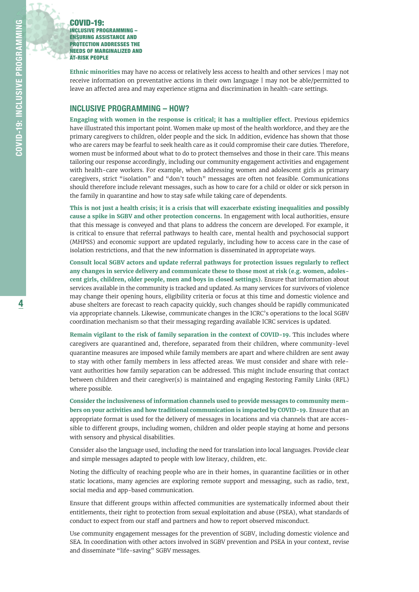**Ethnic minorities** may have no access or relatively less access to health and other services | may not receive information on preventative actions in their own language | may not be able/permitted to leave an affected area and may experience stigma and discrimination in health-care settings.

## INCLUSIVE PROGRAMMING – HOW?

**Engaging with women in the response is critical; it has a multiplier effect.** Previous epidemics have illustrated this important point. Women make up most of the health workforce, and they are the primary caregivers to children, older people and the sick. In addition, evidence has shown that those who are carers may be fearful to seek health care as it could compromise their care duties. Therefore, women must be informed about what to do to protect themselves and those in their care. This means tailoring our response accordingly, including our community engagement activities and engagement with health-care workers. For example, when addressing women and adolescent girls as primary caregivers, strict "isolation" and "don't touch" messages are often not feasible. Communications should therefore include relevant messages, such as how to care for a child or older or sick person in the family in quarantine and how to stay safe while taking care of dependents.

**This is not just a health crisis; it is a crisis that will exacerbate existing inequalities and possibly cause a spike in SGBV and other protection concerns.** In engagement with local authorities, ensure that this message is conveyed and that plans to address the concern are developed. For example, it is critical to ensure that referral pathways to health care, mental health and psychosocial support (MHPSS) and economic support are updated regularly, including how to access care in the case of isolation restrictions, and that the new information is disseminated in appropriate ways.

**Consult local SGBV actors and update referral pathways for protection issues regularly to reflect any changes in service delivery and communicate these to those most at risk (e.g. women, adolescent girls, children, older people, men and boys in closed settings).** Ensure that information about services available in the community is tracked and updated. As many services for survivors of violence may change their opening hours, eligibility criteria or focus at this time and domestic violence and abuse shelters are forecast to reach capacity quickly, such changes should be rapidly communicated via appropriate channels. Likewise, communicate changes in the ICRC's operations to the local SGBV coordination mechanism so that their messaging regarding available ICRC services is updated.

**Remain vigilant to the risk of family separation in the context of COVID-19.** This includes where caregivers are quarantined and, therefore, separated from their children, where community-level quarantine measures are imposed while family members are apart and where children are sent away to stay with other family members in less affected areas. We must consider and share with relevant authorities how family separation can be addressed. This might include ensuring that contact between children and their caregiver(s) is maintained and engaging Restoring Family Links (RFL) where possible.

**Consider the inclusiveness of information channels used to provide messages to community members on your activities and how traditional communication is impacted by COVID-19.** Ensure that an appropriate format is used for the delivery of messages in locations and via channels that are accessible to different groups, including women, children and older people staying at home and persons with sensory and physical disabilities.

Consider also the language used, including the need for translation into local languages. Provide clear and simple messages adapted to people with low literacy, children, etc.

Noting the difficulty of reaching people who are in their homes, in quarantine facilities or in other static locations, many agencies are exploring remote support and messaging, such as radio, text, social media and app-based communication.

Ensure that different groups within affected communities are systematically informed about their entitlements, their right to protection from sexual exploitation and abuse (PSEA), what standards of conduct to expect from our staff and partners and how to report observed misconduct.

Use community engagement messages for the prevention of SGBV, including domestic violence and SEA. In coordination with other actors involved in SGBV prevention and PSEA in your context, revise and disseminate "life-saving" SGBV messages.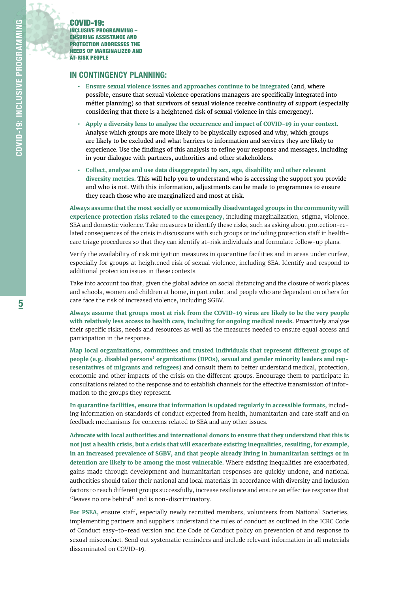## IN CONTINGENCY PLANNING:

- **• Ensure sexual violence issues and approaches continue to be integrated** (and, where possible, ensure that sexual violence operations managers are specifically integrated into métier planning) so that survivors of sexual violence receive continuity of support (especially considering that there is a heightened risk of sexual violence in this emergency).
- **• Apply a diversity lens to analyse the occurrence and impact of COVID-19 in your context.**  Analyse which groups are more likely to be physically exposed and why, which groups are likely to be excluded and what barriers to information and services they are likely to experience. Use the findings of this analysis to refine your response and messages, including in your dialogue with partners, authorities and other stakeholders.
- **• Collect, analyse and use data disaggregated by sex, age, disability and other relevant diversity metrics.** This will help you to understand who is accessing the support you provide and who is not. With this information, adjustments can be made to programmes to ensure they reach those who are marginalized and most at risk.

**Always assume that the most socially or economically disadvantaged groups in the community will experience protection risks related to the emergency,** including marginalization, stigma, violence, SEA and domestic violence. Take measures to identify these risks, such as asking about protection-related consequences of the crisis in discussions with such groups or including protection staff in healthcare triage procedures so that they can identify at-risk individuals and formulate follow-up plans.

Verify the availability of risk mitigation measures in quarantine facilities and in areas under curfew, especially for groups at heightened risk of sexual violence, including SEA. Identify and respond to additional protection issues in these contexts.

Take into account too that, given the global advice on social distancing and the closure of work places and schools, women and children at home, in particular, and people who are dependent on others for care face the risk of increased violence, including SGBV.

**Always assume that groups most at risk from the COVID-19 virus are likely to be the very people with relatively less access to health care, including for ongoing medical needs.** Proactively analyse their specific risks, needs and resources as well as the measures needed to ensure equal access and participation in the response.

**Map local organizations, committees and trusted individuals that represent different groups of people (e.g. disabled persons' organizations (DPOs), sexual and gender minority leaders and representatives of migrants and refugees)** and consult them to better understand medical, protection, economic and other impacts of the crisis on the different groups. Encourage them to participate in consultations related to the response and to establish channels for the effective transmission of information to the groups they represent.

**In quarantine facilities, ensure that information is updated regularly in accessible formats,** including information on standards of conduct expected from health, humanitarian and care staff and on feedback mechanisms for concerns related to SEA and any other issues.

**Advocate with local authorities and international donors to ensure that they understand that this is not just a health crisis, but a crisis that will exacerbate existing inequalities, resulting, for example, in an increased prevalence of SGBV, and that people already living in humanitarian settings or in detention are likely to be among the most vulnerable.** Where existing inequalities are exacerbated, gains made through development and humanitarian responses are quickly undone, and national authorities should tailor their national and local materials in accordance with diversity and inclusion factors to reach different groups successfully, increase resilience and ensure an effective response that "leaves no one behind" and is non-discriminatory.

**For PSEA,** ensure staff, especially newly recruited members, volunteers from National Societies, implementing partners and suppliers understand the rules of conduct as outlined in the ICRC Code of Conduct easy-to-read version and the Code of Conduct policy on prevention of and response to sexual misconduct. Send out systematic reminders and include relevant information in all materials disseminated on COVID-19.